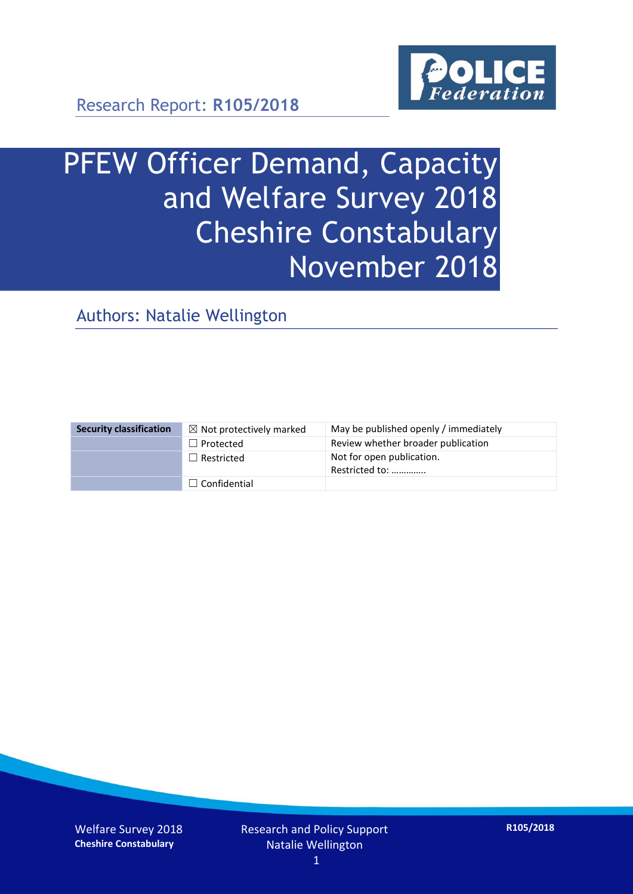

Research Report: **R105/2018**

# PFEW Officer Demand, Capacity and Welfare Survey 2018 Cheshire Constabulary November 2018

Authors: Natalie Wellington

| <b>Security classification</b> | $\boxtimes$ Not protectively marked | May be published openly / immediately       |
|--------------------------------|-------------------------------------|---------------------------------------------|
|                                | $\Box$ Protected                    | Review whether broader publication          |
|                                | $\Box$ Restricted                   | Not for open publication.<br>Restricted to: |
|                                | $\Box$ Confidential                 |                                             |

Welfare Survey 2018 **Cheshire Constabulary**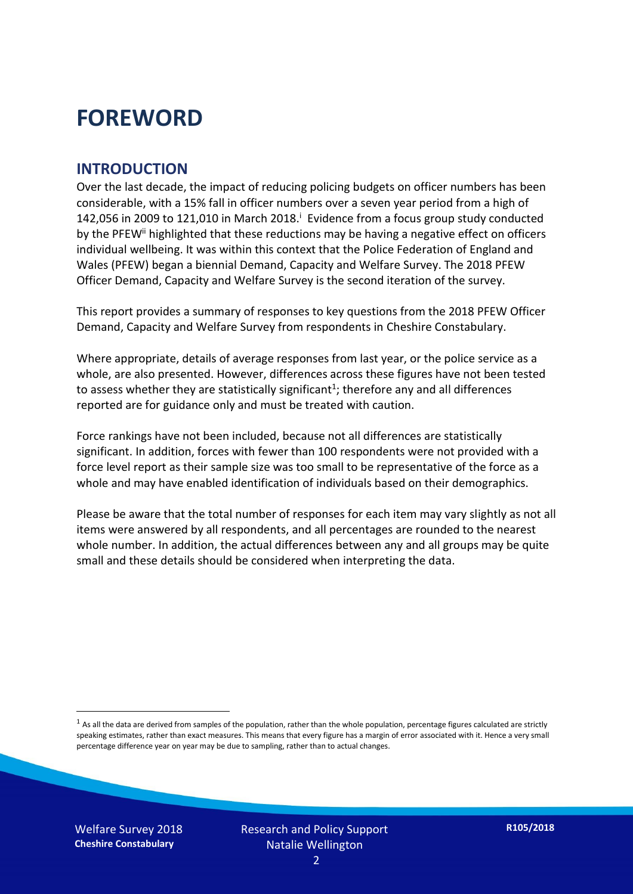### **FOREWORD**

#### **INTRODUCTION**

Over the last decade, the impact of reducing policing budgets on officer numbers has been considerable, with a 15% fall in officer numbers over a seven year period from a high of 142,056 in 2009 to 121,010 in March 2018. $^{\mathrm{i}}$  Evidence from a focus group study conducted by the PFEW<sup>ii</sup> highlighted that these reductions may be having a negative effect on officers individual wellbeing. It was within this context that the Police Federation of England and Wales (PFEW) began a biennial Demand, Capacity and Welfare Survey. The 2018 PFEW Officer Demand, Capacity and Welfare Survey is the second iteration of the survey.

This report provides a summary of responses to key questions from the 2018 PFEW Officer Demand, Capacity and Welfare Survey from respondents in Cheshire Constabulary.

Where appropriate, details of average responses from last year, or the police service as a whole, are also presented. However, differences across these figures have not been tested to assess whether they are statistically significant<sup>1</sup>; therefore any and all differences reported are for guidance only and must be treated with caution.

Force rankings have not been included, because not all differences are statistically significant. In addition, forces with fewer than 100 respondents were not provided with a force level report as their sample size was too small to be representative of the force as a whole and may have enabled identification of individuals based on their demographics.

Please be aware that the total number of responses for each item may vary slightly as not all items were answered by all respondents, and all percentages are rounded to the nearest whole number. In addition, the actual differences between any and all groups may be quite small and these details should be considered when interpreting the data.

Welfare Survey 2018 **Cheshire Constabulary**

-

 $<sup>1</sup>$  As all the data are derived from samples of the population, rather than the whole population, percentage figures calculated are strictly</sup> speaking estimates, rather than exact measures. This means that every figure has a margin of error associated with it. Hence a very small percentage difference year on year may be due to sampling, rather than to actual changes.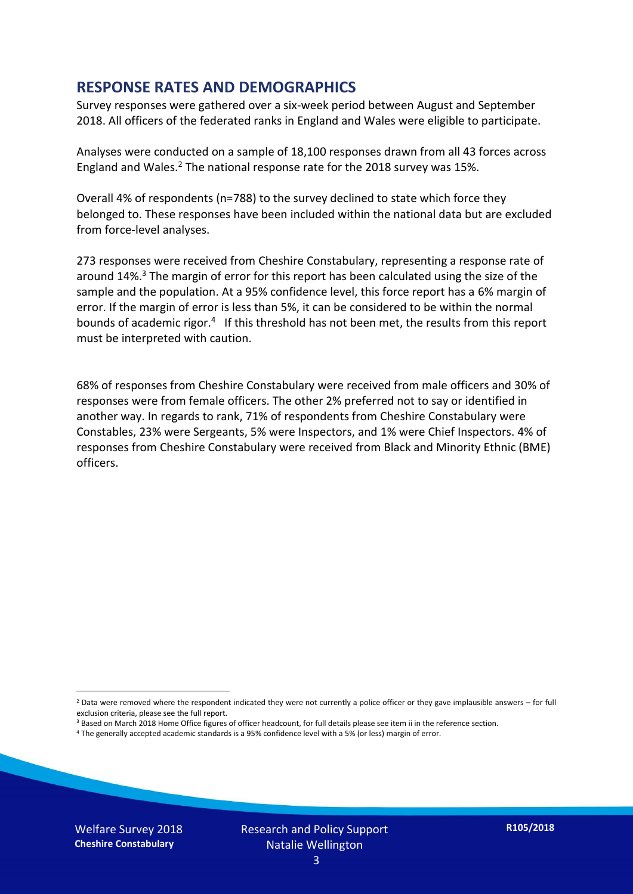#### **RESPONSE RATES AND DEMOGRAPHICS**

Survey responses were gathered over a six-week period between August and September 2018. All officers of the federated ranks in England and Wales were eligible to participate.

Analyses were conducted on a sample of 18,100 responses drawn from all 43 forces across England and Wales.<sup>2</sup> The national response rate for the 2018 survey was 15%.

Overall 4% of respondents (n=788) to the survey declined to state which force they belonged to. These responses have been included within the national data but are excluded from force-level analyses.

273 responses were received from Cheshire Constabulary, representing a response rate of around 14%. <sup>3</sup> The margin of error for this report has been calculated using the size of the sample and the population. At a 95% confidence level, this force report has a 6% margin of error. If the margin of error is less than 5%, it can be considered to be within the normal bounds of academic rigor.<sup>4</sup> If this threshold has not been met, the results from this report must be interpreted with caution.

68% of responses from Cheshire Constabulary were received from male officers and 30% of responses were from female officers. The other 2% preferred not to say or identified in another way. In regards to rank, 71% of respondents from Cheshire Constabulary were Constables, 23% were Sergeants, 5% were Inspectors, and 1% were Chief Inspectors. 4% of responses from Cheshire Constabulary were received from Black and Minority Ethnic (BME) officers.

- <sup>3</sup> Based on March 2018 Home Office figures of officer headcount, for full details please see item ii in the reference section.
- <sup>4</sup> The generally accepted academic standards is a 95% confidence level with a 5% (or less) margin of error.

Welfare Survey 2018 **Cheshire Constabulary**

-

 $2$  Data were removed where the respondent indicated they were not currently a police officer or they gave implausible answers – for full exclusion criteria, please see the full report.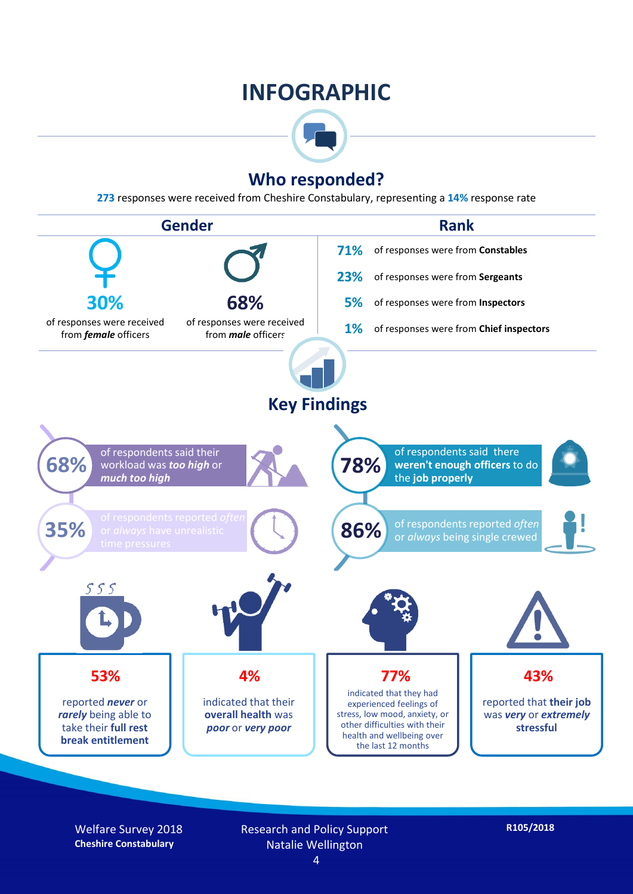### **INFOGRAPHIC**



#### **Who responded?**

**273** responses were received from Cheshire Constabulary, representing a **14%** response rate



Welfare Survey 2018 **Cheshire Constabulary**

Research and Policy Support Natalie Wellington 4

**R105/2018**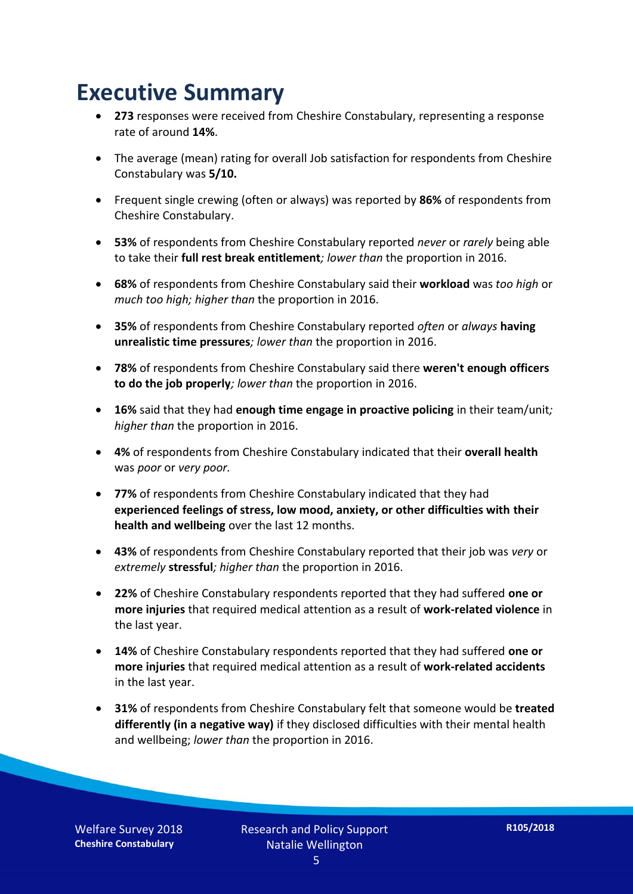### **Executive Summary**

- **273** responses were received from Cheshire Constabulary, representing a response rate of around **14%**.
- The average (mean) rating for overall Job satisfaction for respondents from Cheshire Constabulary was **5/10.**
- Frequent single crewing (often or always) was reported by **86%** of respondents from Cheshire Constabulary.
- **53%** of respondents from Cheshire Constabulary reported *never* or *rarely* being able to take their **full rest break entitlement***; lower than* the proportion in 2016.
- **68%** of respondents from Cheshire Constabulary said their **workload** was *too high* or *much too high; higher than* the proportion in 2016.
- **35%** of respondents from Cheshire Constabulary reported *often* or *always* **having unrealistic time pressures***; lower than* the proportion in 2016.
- **78%** of respondents from Cheshire Constabulary said there **weren't enough officers to do the job properly***; lower than* the proportion in 2016.
- **16%** said that they had **enough time engage in proactive policing** in their team/unit*; higher than* the proportion in 2016.
- **4%** of respondents from Cheshire Constabulary indicated that their **overall health** was *poor* or *very poor.*
- **77%** of respondents from Cheshire Constabulary indicated that they had **experienced feelings of stress, low mood, anxiety, or other difficulties with their health and wellbeing** over the last 12 months.
- **43%** of respondents from Cheshire Constabulary reported that their job was *very* or *extremely* **stressful***; higher than* the proportion in 2016.
- **22%** of Cheshire Constabulary respondents reported that they had suffered **one or more injuries** that required medical attention as a result of **work-related violence** in the last year.
- **14%** of Cheshire Constabulary respondents reported that they had suffered **one or more injuries** that required medical attention as a result of **work-related accidents**  in the last year.
- **31%** of respondents from Cheshire Constabulary felt that someone would be **treated differently (in a negative way)** if they disclosed difficulties with their mental health and wellbeing; *lower than* the proportion in 2016.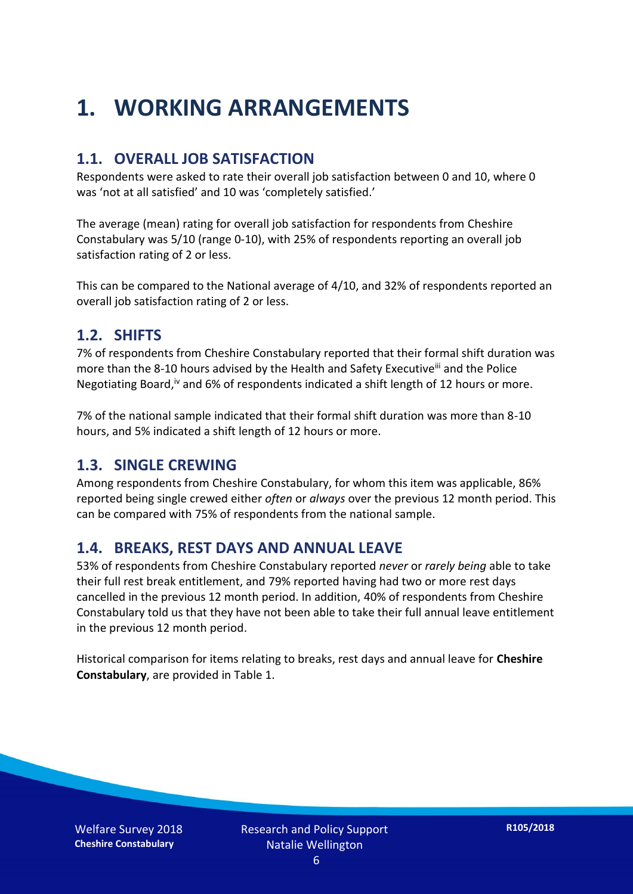## **1. WORKING ARRANGEMENTS**

#### **1.1. OVERALL JOB SATISFACTION**

Respondents were asked to rate their overall job satisfaction between 0 and 10, where 0 was 'not at all satisfied' and 10 was 'completely satisfied.'

The average (mean) rating for overall job satisfaction for respondents from Cheshire Constabulary was 5/10 (range 0-10), with 25% of respondents reporting an overall job satisfaction rating of 2 or less.

This can be compared to the National average of 4/10, and 32% of respondents reported an overall job satisfaction rating of 2 or less.

#### **1.2. SHIFTS**

7% of respondents from Cheshire Constabulary reported that their formal shift duration was more than the 8-10 hours advised by the Health and Safety Executive<sup>iii</sup> and the Police Negotiating Board,<sup>iv</sup> and 6% of respondents indicated a shift length of 12 hours or more.

7% of the national sample indicated that their formal shift duration was more than 8-10 hours, and 5% indicated a shift length of 12 hours or more.

#### **1.3. SINGLE CREWING**

Among respondents from Cheshire Constabulary, for whom this item was applicable, 86% reported being single crewed either *often* or *always* over the previous 12 month period. This can be compared with 75% of respondents from the national sample.

#### **1.4. BREAKS, REST DAYS AND ANNUAL LEAVE**

53% of respondents from Cheshire Constabulary reported *never* or *rarely being* able to take their full rest break entitlement, and 79% reported having had two or more rest days cancelled in the previous 12 month period. In addition, 40% of respondents from Cheshire Constabulary told us that they have not been able to take their full annual leave entitlement in the previous 12 month period.

Historical comparison for items relating to breaks, rest days and annual leave for **Cheshire Constabulary**, are provided in Table 1.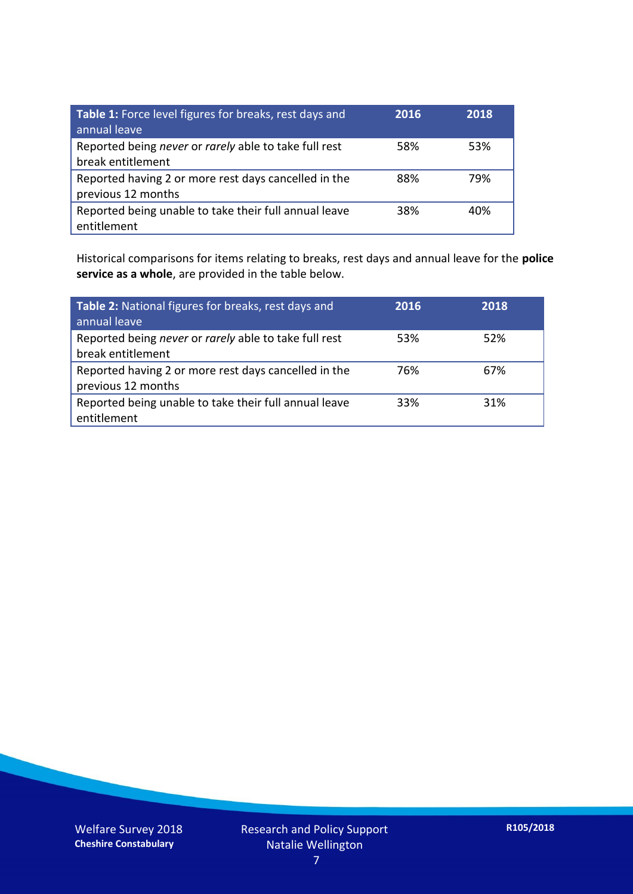| Table 1: Force level figures for breaks, rest days and<br>annual leave     | 2016 | 2018 |
|----------------------------------------------------------------------------|------|------|
| Reported being never or rarely able to take full rest<br>break entitlement | 58%  | 53%  |
| Reported having 2 or more rest days cancelled in the<br>previous 12 months | 88%  | 79%  |
| Reported being unable to take their full annual leave<br>entitlement       | 38%  | 40%  |

Historical comparisons for items relating to breaks, rest days and annual leave for the **police service as a whole**, are provided in the table below.

| Table 2: National figures for breaks, rest days and<br>annual leave        | 2016 | 2018 |
|----------------------------------------------------------------------------|------|------|
| Reported being never or rarely able to take full rest<br>break entitlement | 53%  | 52%  |
| Reported having 2 or more rest days cancelled in the<br>previous 12 months | 76%  | 67%  |
| Reported being unable to take their full annual leave<br>entitlement       | 33%  | 31%  |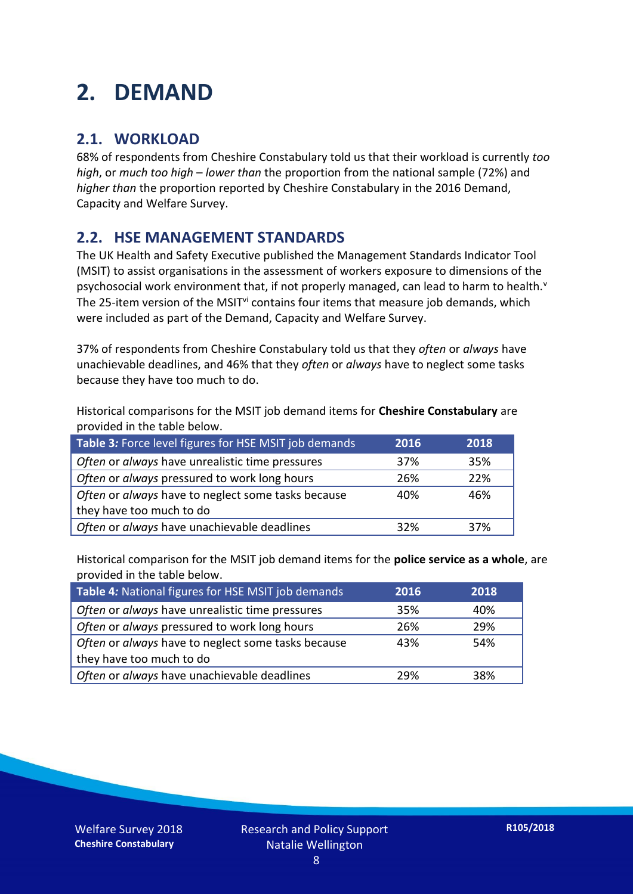### **2. DEMAND**

#### **2.1. WORKLOAD**

68% of respondents from Cheshire Constabulary told us that their workload is currently *too high*, or *much too high* – *lower than* the proportion from the national sample (72%) and *higher than* the proportion reported by Cheshire Constabulary in the 2016 Demand, Capacity and Welfare Survey.

#### **2.2. HSE MANAGEMENT STANDARDS**

The UK Health and Safety Executive published the Management Standards Indicator Tool (MSIT) to assist organisations in the assessment of workers exposure to dimensions of the psychosocial work environment that, if not properly managed, can lead to harm to health.<sup>v</sup> The 25-item version of the MSIT<sup>vi</sup> contains four items that measure job demands, which were included as part of the Demand, Capacity and Welfare Survey.

37% of respondents from Cheshire Constabulary told us that they *often* or *always* have unachievable deadlines, and 46% that they *often* or *always* have to neglect some tasks because they have too much to do.

Historical comparisons for the MSIT job demand items for **Cheshire Constabulary** are provided in the table below.

| Table 3: Force level figures for HSE MSIT job demands | 2016 | 2018 |
|-------------------------------------------------------|------|------|
| Often or always have unrealistic time pressures       | 37%  | 35%  |
| Often or always pressured to work long hours          | 26%  | 22%  |
| Often or always have to neglect some tasks because    | 40%  | 46%  |
| they have too much to do                              |      |      |
| Often or always have unachievable deadlines           | 32%  | 37%  |

Historical comparison for the MSIT job demand items for the **police service as a whole**, are provided in the table below.

| Table 4: National figures for HSE MSIT job demands | 2016 | 2018 |
|----------------------------------------------------|------|------|
| Often or always have unrealistic time pressures    | 35%  | 40%  |
| Often or always pressured to work long hours       | 26%  | 29%  |
| Often or always have to neglect some tasks because | 43%  | 54%  |
| they have too much to do                           |      |      |
| Often or always have unachievable deadlines        | 29%  | 38%  |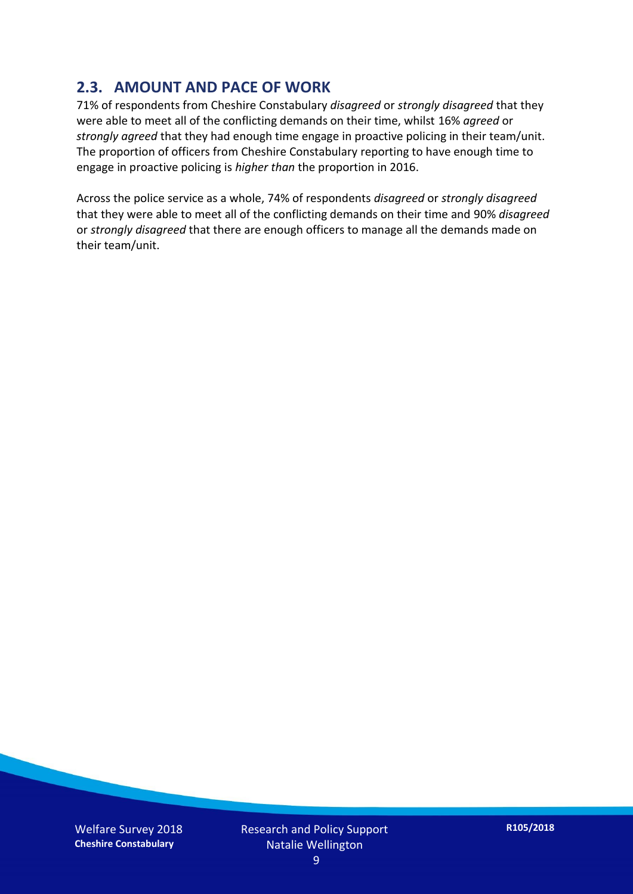#### **2.3. AMOUNT AND PACE OF WORK**

71% of respondents from Cheshire Constabulary *disagreed* or *strongly disagreed* that they were able to meet all of the conflicting demands on their time, whilst 16% *agreed* or *strongly agreed* that they had enough time engage in proactive policing in their team/unit. The proportion of officers from Cheshire Constabulary reporting to have enough time to engage in proactive policing is *higher than* the proportion in 2016.

Across the police service as a whole, 74% of respondents *disagreed* or *strongly disagreed* that they were able to meet all of the conflicting demands on their time and 90% *disagreed* or *strongly disagreed* that there are enough officers to manage all the demands made on their team/unit.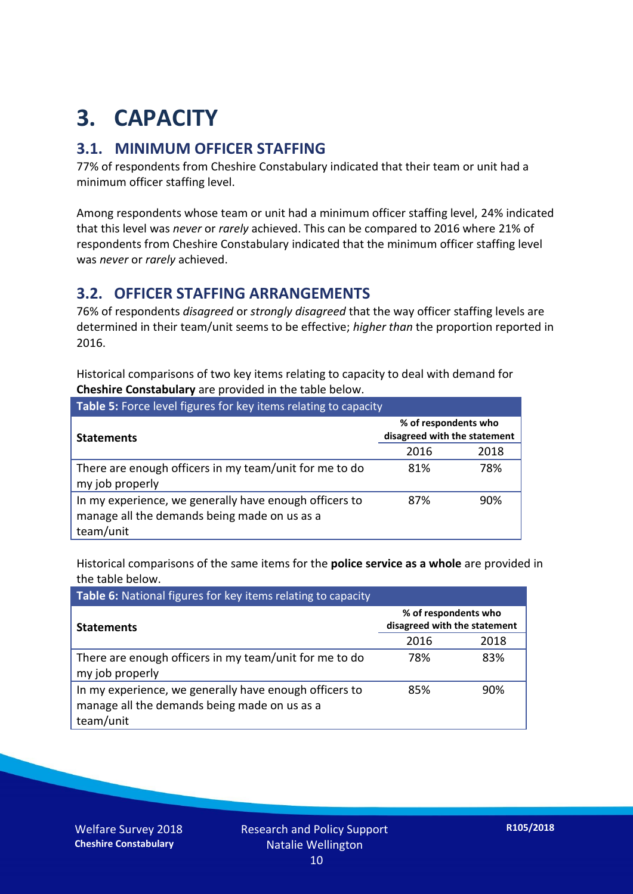## **3. CAPACITY**

#### **3.1. MINIMUM OFFICER STAFFING**

77% of respondents from Cheshire Constabulary indicated that their team or unit had a minimum officer staffing level.

Among respondents whose team or unit had a minimum officer staffing level, 24% indicated that this level was *never* or *rarely* achieved. This can be compared to 2016 where 21% of respondents from Cheshire Constabulary indicated that the minimum officer staffing level was *never* or *rarely* achieved.

#### **3.2. OFFICER STAFFING ARRANGEMENTS**

76% of respondents *disagreed* or *strongly disagreed* that the way officer staffing levels are determined in their team/unit seems to be effective; *higher than* the proportion reported in 2016.

Historical comparisons of two key items relating to capacity to deal with demand for **Cheshire Constabulary** are provided in the table below.

| <b>Table 5:</b> Force level figures for key items relating to capacity                                              |                                                      |      |  |
|---------------------------------------------------------------------------------------------------------------------|------------------------------------------------------|------|--|
| <b>Statements</b>                                                                                                   | % of respondents who<br>disagreed with the statement |      |  |
|                                                                                                                     | 2016                                                 | 2018 |  |
| There are enough officers in my team/unit for me to do<br>my job properly                                           | 81%                                                  | 78%  |  |
| In my experience, we generally have enough officers to<br>manage all the demands being made on us as a<br>team/unit | 87%                                                  | 90%  |  |

Historical comparisons of the same items for the **police service as a whole** are provided in the table below.

| Table 6: National figures for key items relating to capacity                                                        |                                                      |      |  |  |
|---------------------------------------------------------------------------------------------------------------------|------------------------------------------------------|------|--|--|
| <b>Statements</b>                                                                                                   | % of respondents who<br>disagreed with the statement |      |  |  |
|                                                                                                                     | 2016                                                 | 2018 |  |  |
| There are enough officers in my team/unit for me to do<br>my job properly                                           | 78%                                                  | 83%  |  |  |
| In my experience, we generally have enough officers to<br>manage all the demands being made on us as a<br>team/unit | 85%                                                  | 90%  |  |  |

Welfare Survey 2018 **Cheshire Constabulary**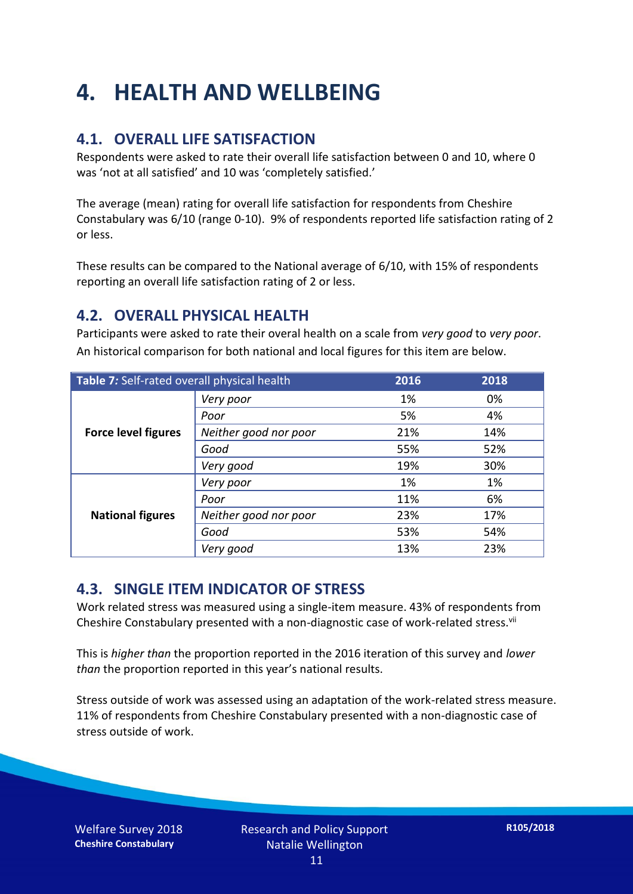## **4. HEALTH AND WELLBEING**

#### **4.1. OVERALL LIFE SATISFACTION**

Respondents were asked to rate their overall life satisfaction between 0 and 10, where 0 was 'not at all satisfied' and 10 was 'completely satisfied.'

The average (mean) rating for overall life satisfaction for respondents from Cheshire Constabulary was 6/10 (range 0-10). 9% of respondents reported life satisfaction rating of 2 or less.

These results can be compared to the National average of 6/10, with 15% of respondents reporting an overall life satisfaction rating of 2 or less.

#### **4.2. OVERALL PHYSICAL HEALTH**

Participants were asked to rate their overal health on a scale from *very good* to *very poor*. An historical comparison for both national and local figures for this item are below.

| Table 7: Self-rated overall physical health |                       | 2016 | 2018 |
|---------------------------------------------|-----------------------|------|------|
|                                             | Very poor             | 1%   | 0%   |
|                                             | Poor                  | 5%   | 4%   |
| <b>Force level figures</b>                  | Neither good nor poor | 21%  | 14%  |
|                                             | Good                  | 55%  | 52%  |
|                                             | Very good             | 19%  | 30%  |
| <b>National figures</b>                     | Very poor             | 1%   | 1%   |
|                                             | Poor                  | 11%  | 6%   |
|                                             | Neither good nor poor | 23%  | 17%  |
|                                             | Good                  | 53%  | 54%  |
|                                             | Very good             | 13%  | 23%  |

#### **4.3. SINGLE ITEM INDICATOR OF STRESS**

Work related stress was measured using a single-item measure. 43% of respondents from Cheshire Constabulary presented with a non-diagnostic case of work-related stress.<sup>vii</sup>

This is *higher than* the proportion reported in the 2016 iteration of this survey and *lower than* the proportion reported in this year's national results.

Stress outside of work was assessed using an adaptation of the work-related stress measure. 11% of respondents from Cheshire Constabulary presented with a non-diagnostic case of stress outside of work.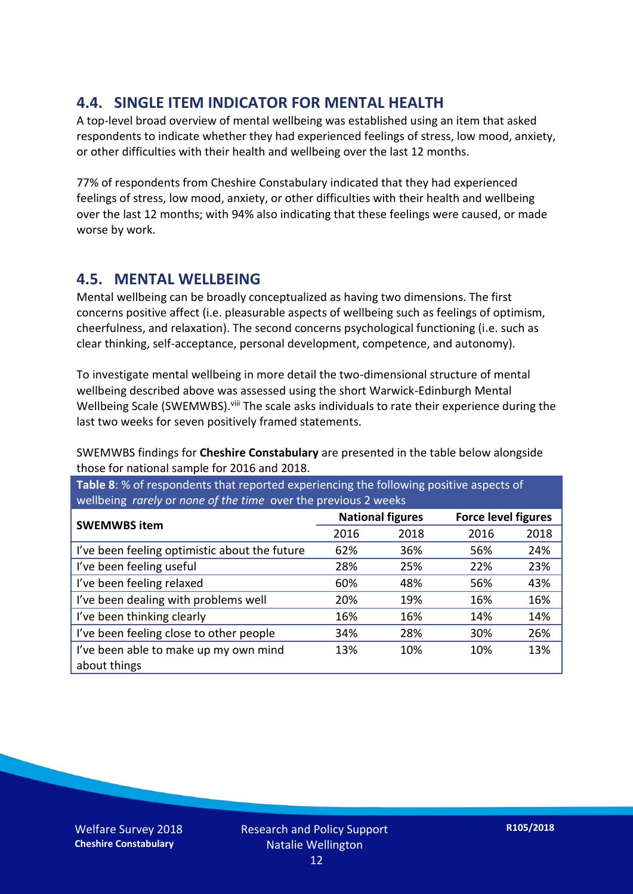#### **4.4. SINGLE ITEM INDICATOR FOR MENTAL HEALTH**

A top-level broad overview of mental wellbeing was established using an item that asked respondents to indicate whether they had experienced feelings of stress, low mood, anxiety, or other difficulties with their health and wellbeing over the last 12 months.

77% of respondents from Cheshire Constabulary indicated that they had experienced feelings of stress, low mood, anxiety, or other difficulties with their health and wellbeing over the last 12 months; with 94% also indicating that these feelings were caused, or made worse by work.

#### **4.5. MENTAL WELLBEING**

Mental wellbeing can be broadly conceptualized as having two dimensions. The first concerns positive affect (i.e. pleasurable aspects of wellbeing such as feelings of optimism, cheerfulness, and relaxation). The second concerns psychological functioning (i.e. such as clear thinking, self-acceptance, personal development, competence, and autonomy).

To investigate mental wellbeing in more detail the two-dimensional structure of mental wellbeing described above was assessed using the short Warwick-Edinburgh Mental Wellbeing Scale (SWEMWBS). viii The scale asks individuals to rate their experience during the last two weeks for seven positively framed statements.

SWEMWBS findings for **Cheshire Constabulary** are presented in the table below alongside those for national sample for 2016 and 2018.

**Table 8**: % of respondents that reported experiencing the following positive aspects of wellbeing *rarely* or *none of the time* over the previous 2 weeks

| <b>SWEMWBS item</b>                           | <b>National figures</b> |      | <b>Force level figures</b> |      |
|-----------------------------------------------|-------------------------|------|----------------------------|------|
|                                               | 2016                    | 2018 | 2016                       | 2018 |
| I've been feeling optimistic about the future | 62%                     | 36%  | 56%                        | 24%  |
| I've been feeling useful                      | 28%                     | 25%  | 22%                        | 23%  |
| I've been feeling relaxed                     | 60%                     | 48%  | 56%                        | 43%  |
| I've been dealing with problems well          | 20%                     | 19%  | 16%                        | 16%  |
| I've been thinking clearly                    | 16%                     | 16%  | 14%                        | 14%  |
| I've been feeling close to other people       | 34%                     | 28%  | 30%                        | 26%  |
| I've been able to make up my own mind         | 13%                     | 10%  | 10%                        | 13%  |
| about things                                  |                         |      |                            |      |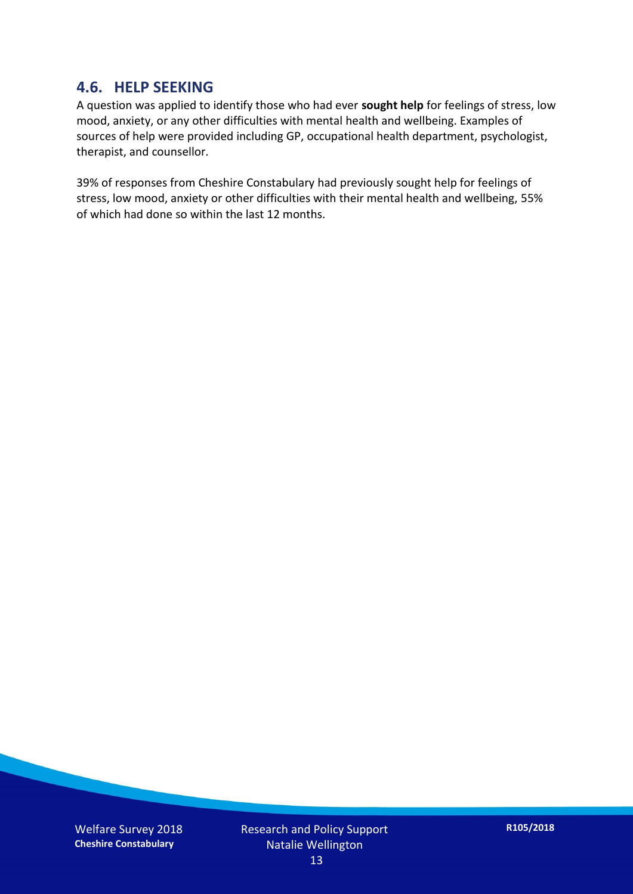#### **4.6. HELP SEEKING**

A question was applied to identify those who had ever **sought help** for feelings of stress, low mood, anxiety, or any other difficulties with mental health and wellbeing. Examples of sources of help were provided including GP, occupational health department, psychologist, therapist, and counsellor.

39% of responses from Cheshire Constabulary had previously sought help for feelings of stress, low mood, anxiety or other difficulties with their mental health and wellbeing, 55% of which had done so within the last 12 months.

Welfare Survey 2018 **Cheshire Constabulary**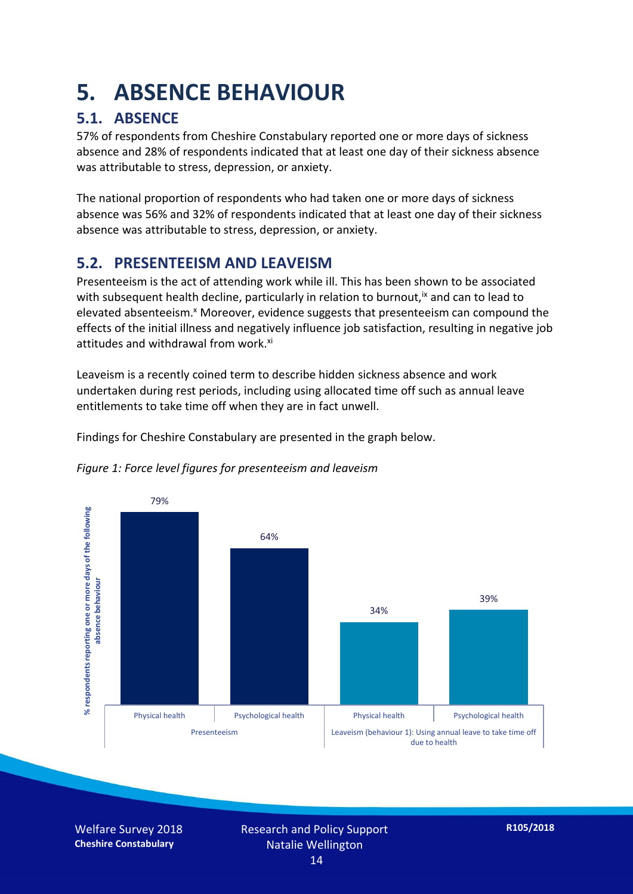### **5. ABSENCE BEHAVIOUR**

#### **5.1. ABSENCE**

57% of respondents from Cheshire Constabulary reported one or more days of sickness absence and 28% of respondents indicated that at least one day of their sickness absence was attributable to stress, depression, or anxiety.

The national proportion of respondents who had taken one or more days of sickness absence was 56% and 32% of respondents indicated that at least one day of their sickness absence was attributable to stress, depression, or anxiety.

#### **5.2. PRESENTEEISM AND LEAVEISM**

Presenteeism is the act of attending work while ill. This has been shown to be associated with subsequent health decline, particularly in relation to burnout,  $\alpha$  and can to lead to elevated absenteeism.<sup>x</sup> Moreover, evidence suggests that presenteeism can compound the effects of the initial illness and negatively influence job satisfaction, resulting in negative job attitudes and withdrawal from work.<sup>xi</sup>

Leaveism is a recently coined term to describe hidden sickness absence and work undertaken during rest periods, including using allocated time off such as annual leave entitlements to take time off when they are in fact unwell.

Findings for Cheshire Constabulary are presented in the graph below.





Welfare Survey 2018 **Cheshire Constabulary**

Research and Policy Support Natalie Wellington 14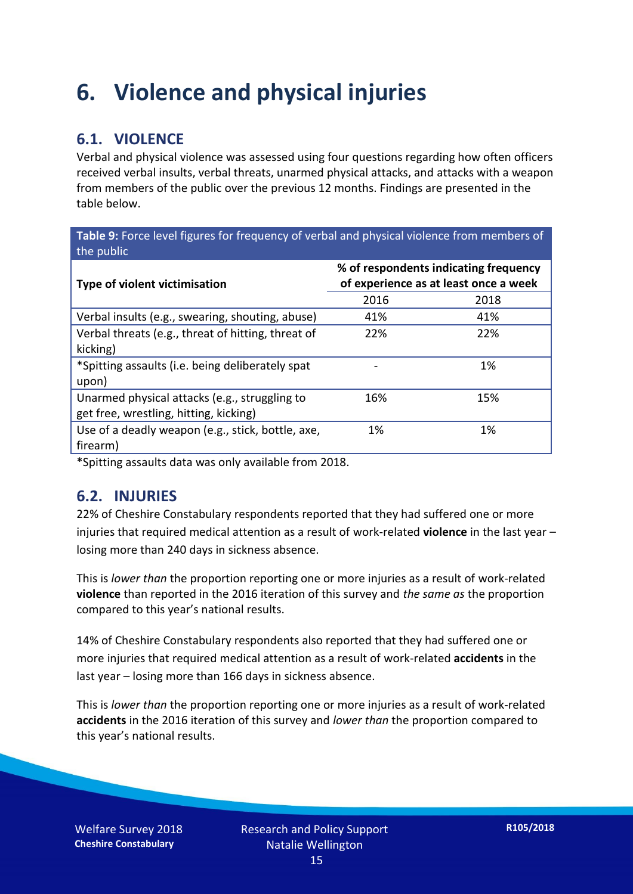### **6. Violence and physical injuries**

#### **6.1. VIOLENCE**

Verbal and physical violence was assessed using four questions regarding how often officers received verbal insults, verbal threats, unarmed physical attacks, and attacks with a weapon from members of the public over the previous 12 months. Findings are presented in the table below.

**Table 9:** Force level figures for frequency of verbal and physical violence from members of the public

| <b>Type of violent victimisation</b>               | % of respondents indicating frequency<br>of experience as at least once a week |      |  |
|----------------------------------------------------|--------------------------------------------------------------------------------|------|--|
|                                                    | 2016                                                                           | 2018 |  |
| Verbal insults (e.g., swearing, shouting, abuse)   | 41%                                                                            | 41%  |  |
| Verbal threats (e.g., threat of hitting, threat of | 22%                                                                            | 22%  |  |
| kicking)                                           |                                                                                |      |  |
| *Spitting assaults (i.e. being deliberately spat   |                                                                                | 1%   |  |
| upon)                                              |                                                                                |      |  |
| Unarmed physical attacks (e.g., struggling to      | 16%                                                                            | 15%  |  |
| get free, wrestling, hitting, kicking)             |                                                                                |      |  |
| Use of a deadly weapon (e.g., stick, bottle, axe,  | 1%                                                                             | 1%   |  |
| firearm)                                           |                                                                                |      |  |

\*Spitting assaults data was only available from 2018.

#### **6.2. INJURIES**

22% of Cheshire Constabulary respondents reported that they had suffered one or more injuries that required medical attention as a result of work-related **violence** in the last year – losing more than 240 days in sickness absence.

This is *lower than* the proportion reporting one or more injuries as a result of work-related **violence** than reported in the 2016 iteration of this survey and *the same as* the proportion compared to this year's national results.

14% of Cheshire Constabulary respondents also reported that they had suffered one or more injuries that required medical attention as a result of work-related **accidents** in the last year – losing more than 166 days in sickness absence.

This is *lower than* the proportion reporting one or more injuries as a result of work-related **accidents** in the 2016 iteration of this survey and *lower than* the proportion compared to this year's national results.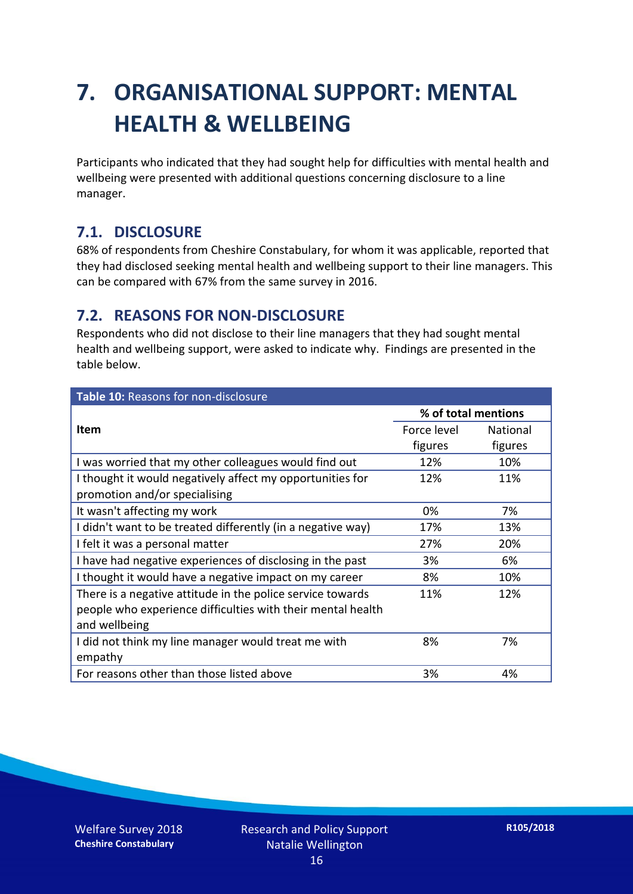## **7. ORGANISATIONAL SUPPORT: MENTAL HEALTH & WELLBEING**

Participants who indicated that they had sought help for difficulties with mental health and wellbeing were presented with additional questions concerning disclosure to a line manager.

#### **7.1. DISCLOSURE**

68% of respondents from Cheshire Constabulary, for whom it was applicable, reported that they had disclosed seeking mental health and wellbeing support to their line managers. This can be compared with 67% from the same survey in 2016.

#### **7.2. REASONS FOR NON-DISCLOSURE**

Respondents who did not disclose to their line managers that they had sought mental health and wellbeing support, were asked to indicate why. Findings are presented in the table below.

| Table 10: Reasons for non-disclosure                        |                     |                 |  |
|-------------------------------------------------------------|---------------------|-----------------|--|
|                                                             | % of total mentions |                 |  |
| Item                                                        | Force level         | <b>National</b> |  |
|                                                             | figures             | figures         |  |
| I was worried that my other colleagues would find out       | 12%                 | 10%             |  |
| I thought it would negatively affect my opportunities for   | 12%                 | 11%             |  |
| promotion and/or specialising                               |                     |                 |  |
| It wasn't affecting my work                                 | 0%                  | 7%              |  |
| I didn't want to be treated differently (in a negative way) | 17%                 | 13%             |  |
| I felt it was a personal matter                             | 27%                 | 20%             |  |
| I have had negative experiences of disclosing in the past   | 3%                  | 6%              |  |
| I thought it would have a negative impact on my career      | 8%                  | 10%             |  |
| There is a negative attitude in the police service towards  | 11%                 | 12%             |  |
| people who experience difficulties with their mental health |                     |                 |  |
| and wellbeing                                               |                     |                 |  |
| I did not think my line manager would treat me with         | 8%                  | 7%              |  |
| empathy                                                     |                     |                 |  |
| For reasons other than those listed above                   | 3%                  | 4%              |  |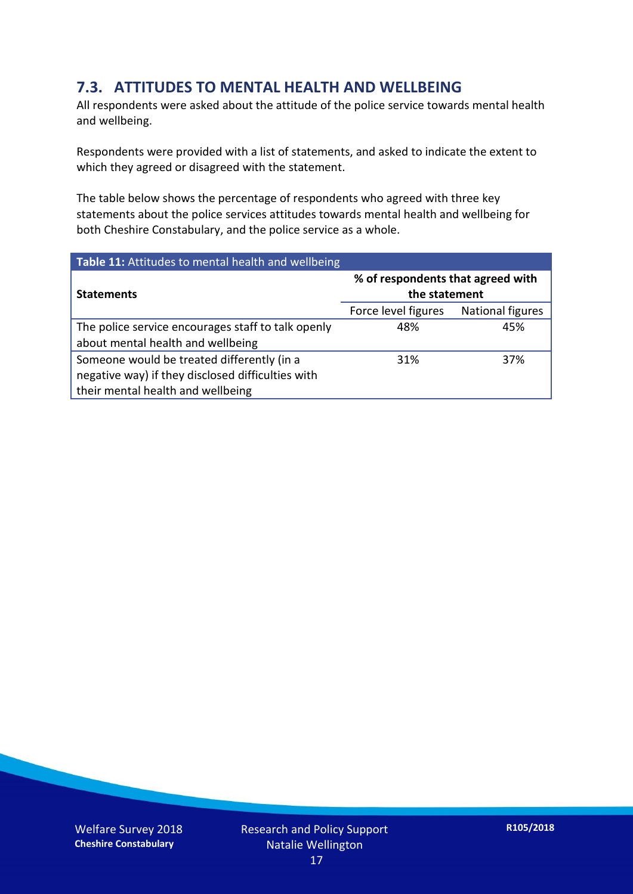#### **7.3. ATTITUDES TO MENTAL HEALTH AND WELLBEING**

All respondents were asked about the attitude of the police service towards mental health and wellbeing.

Respondents were provided with a list of statements, and asked to indicate the extent to which they agreed or disagreed with the statement.

The table below shows the percentage of respondents who agreed with three key statements about the police services attitudes towards mental health and wellbeing for both Cheshire Constabulary, and the police service as a whole.

| Table 11: Attitudes to mental health and wellbeing |                                                    |                  |  |
|----------------------------------------------------|----------------------------------------------------|------------------|--|
| <b>Statements</b>                                  | % of respondents that agreed with<br>the statement |                  |  |
|                                                    | Force level figures                                | National figures |  |
| The police service encourages staff to talk openly | 48%                                                | 45%              |  |
| about mental health and wellbeing                  |                                                    |                  |  |
| Someone would be treated differently (in a         | 31%                                                | 37%              |  |
| negative way) if they disclosed difficulties with  |                                                    |                  |  |
| their mental health and wellbeing                  |                                                    |                  |  |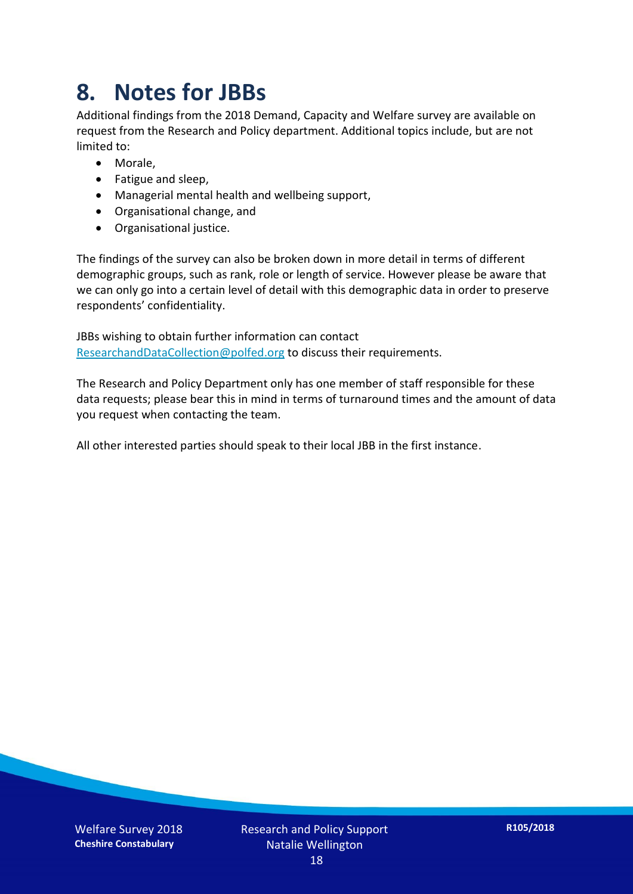### **8. Notes for JBBs**

Additional findings from the 2018 Demand, Capacity and Welfare survey are available on request from the Research and Policy department. Additional topics include, but are not limited to:

- Morale,
- Fatigue and sleep,
- Managerial mental health and wellbeing support,
- Organisational change, and
- Organisational justice.

The findings of the survey can also be broken down in more detail in terms of different demographic groups, such as rank, role or length of service. However please be aware that we can only go into a certain level of detail with this demographic data in order to preserve respondents' confidentiality.

JBBs wishing to obtain further information can contact [ResearchandDataCollection@polfed.org](mailto:ResearchandDataCollection@polfed.org) to discuss their requirements.

The Research and Policy Department only has one member of staff responsible for these data requests; please bear this in mind in terms of turnaround times and the amount of data you request when contacting the team.

All other interested parties should speak to their local JBB in the first instance.